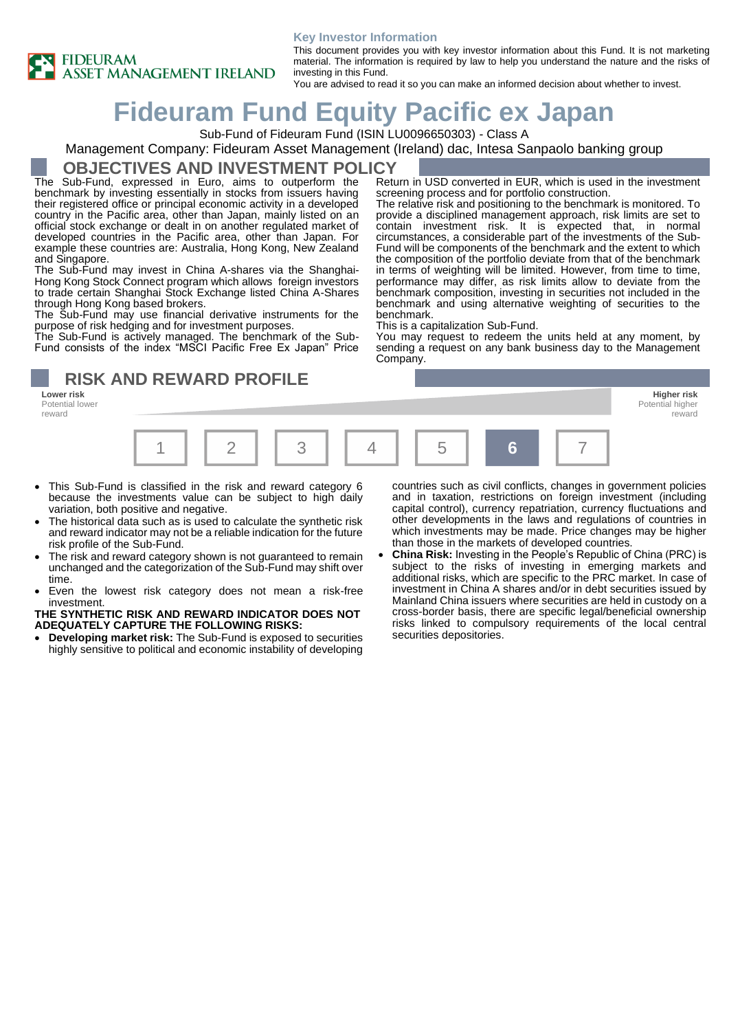

#### **Key Investor Information**

This document provides you with key investor information about this Fund. It is not marketing material. The information is required by law to help you understand the nature and the risks of investing in this Fund.

You are advised to read it so you can make an informed decision about whether to invest.

# **Fideuram Fund Equity Pacific ex Japan**

Sub-Fund of Fideuram Fund (ISIN LU0096650303) - Class A

Management Company: Fideuram Asset Management (Ireland) dac, Intesa Sanpaolo banking group

### **OBJECTIVES AND INVESTMENT POLICY**

The Sub-Fund, expressed in Euro, aims to outperform the benchmark by investing essentially in stocks from issuers having their registered office or principal economic activity in a developed country in the Pacific area, other than Japan, mainly listed on an official stock exchange or dealt in on another regulated market of developed countries in the Pacific area, other than Japan. For example these countries are: Australia, Hong Kong, New Zealand and Singapore.

The Sub-Fund may invest in China A-shares via the Shanghai-Hong Kong Stock Connect program which allows foreign investors to trade certain Shanghai Stock Exchange listed China A-Shares through Hong Kong based brokers.

The Sub-Fund may use financial derivative instruments for the purpose of risk hedging and for investment purposes.

The Sub-Fund is actively managed. The benchmark of the Sub-Fund consists of the index "MSCI Pacific Free Ex Japan" Price

**RISK AND REWARD PROFILE** 

**Lower risk Higher risk** Potential lower reward



- This Sub-Fund is classified in the risk and reward category 6 because the investments value can be subject to high daily variation, both positive and negative.
- The historical data such as is used to calculate the synthetic risk and reward indicator may not be a reliable indication for the future risk profile of the Sub-Fund.
- The risk and reward category shown is not guaranteed to remain unchanged and the categorization of the Sub-Fund may shift over time.
- Even the lowest risk category does not mean a risk-free investment.

#### **THE SYNTHETIC RISK AND REWARD INDICATOR DOES NOT ADEQUATELY CAPTURE THE FOLLOWING RISKS:**

• **Developing market risk:** The Sub-Fund is exposed to securities highly sensitive to political and economic instability of developing

countries such as civil conflicts, changes in government policies and in taxation, restrictions on foreign investment (including capital control), currency repatriation, currency fluctuations and other developments in the laws and regulations of countries in which investments may be made. Price changes may be higher than those in the markets of developed countries.

Potential higher reward

• **China Risk:** Investing in the People's Republic of China (PRC) is subject to the risks of investing in emerging markets and additional risks, which are specific to the PRC market. In case of investment in China A shares and/or in debt securities issued by Mainland China issuers where securities are held in custody on a cross-border basis, there are specific legal/beneficial ownership risks linked to compulsory requirements of the local central securities depositories.

Return in USD converted in EUR, which is used in the investment screening process and for portfolio construction.

The relative risk and positioning to the benchmark is monitored. To provide a disciplined management approach, risk limits are set to contain investment risk. It is expected that, in normal circumstances, a considerable part of the investments of the Sub-Fund will be components of the benchmark and the extent to which the composition of the portfolio deviate from that of the benchmark in terms of weighting will be limited. However, from time to time, performance may differ, as risk limits allow to deviate from the benchmark composition, investing in securities not included in the benchmark and using alternative weighting of securities to the benchmark.

This is a capitalization Sub-Fund.

You may request to redeem the units held at any moment, by sending a request on any bank business day to the Management Company.